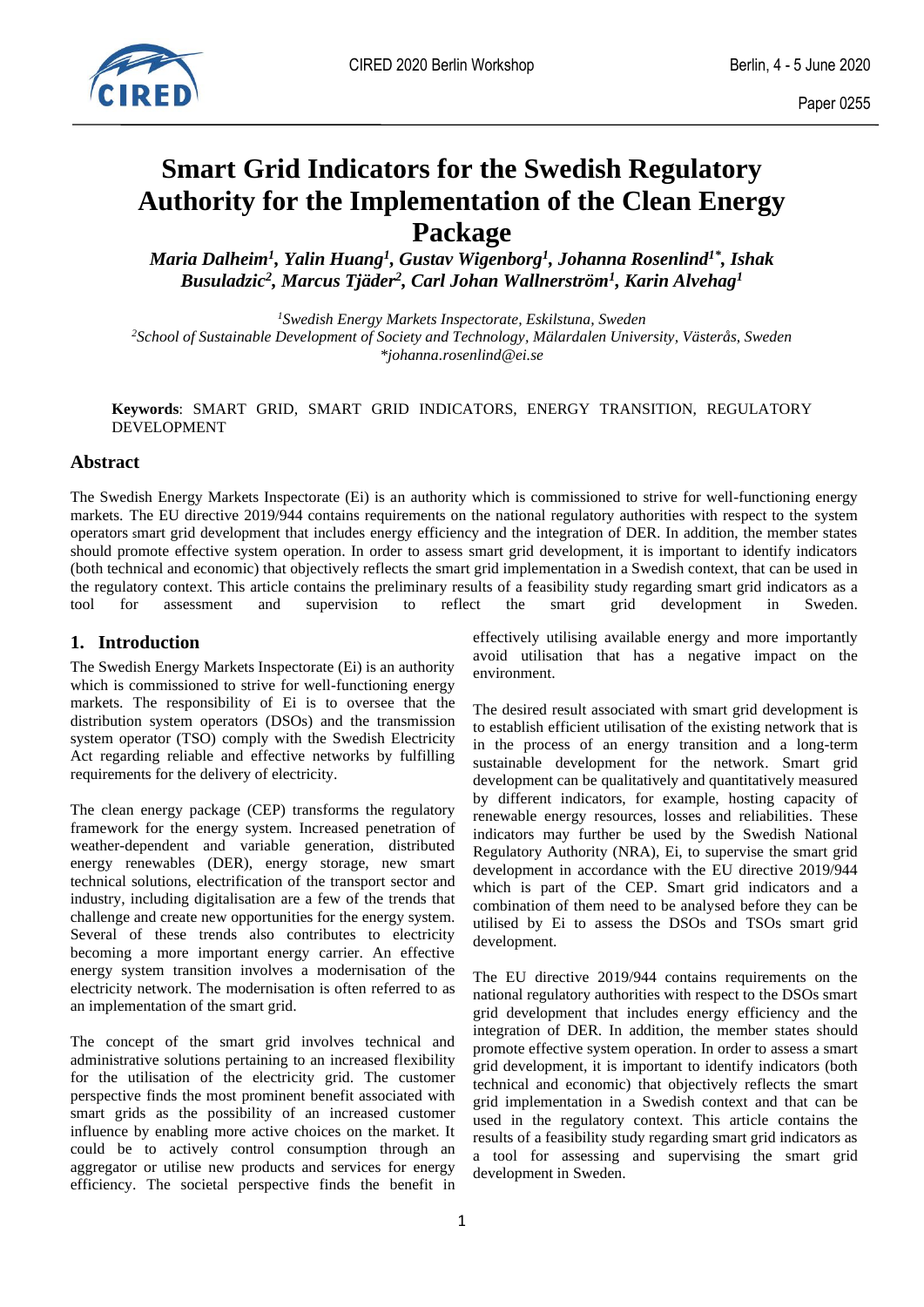

# **Smart Grid Indicators for the Swedish Regulatory Authority for the Implementation of the Clean Energy Package**

*Maria Dalheim<sup>1</sup> , Yalin Huang<sup>1</sup> , Gustav Wigenborg<sup>1</sup> , Johanna Rosenlind1\* , Ishak Busuladzic<sup>2</sup> , Marcus Tjäder<sup>2</sup> , Carl Johan Wallnerström<sup>1</sup> , Karin Alvehag<sup>1</sup>*

*<sup>1</sup>Swedish Energy Markets Inspectorate, Eskilstuna, Sweden <sup>2</sup>School of Sustainable Development of Society and Technology, Mälardalen University, Västerås, Sweden \*johanna.rosenlind@ei.se*

**Keywords**: SMART GRID, SMART GRID INDICATORS, ENERGY TRANSITION, REGULATORY DEVELOPMENT

# **Abstract**

The Swedish Energy Markets Inspectorate (Ei) is an authority which is commissioned to strive for well-functioning energy markets. The EU directive 2019/944 contains requirements on the national regulatory authorities with respect to the system operators smart grid development that includes energy efficiency and the integration of DER. In addition, the member states should promote effective system operation. In order to assess smart grid development, it is important to identify indicators (both technical and economic) that objectively reflects the smart grid implementation in a Swedish context, that can be used in the regulatory context. This article contains the preliminary results of a feasibility study regarding smart grid indicators as a tool for assessment and supervision to reflect the smart grid development in Sweden.

# **1. Introduction**

The Swedish Energy Markets Inspectorate (Ei) is an authority which is commissioned to strive for well-functioning energy markets. The responsibility of Ei is to oversee that the distribution system operators (DSOs) and the transmission system operator (TSO) comply with the Swedish Electricity Act regarding reliable and effective networks by fulfilling requirements for the delivery of electricity.

The clean energy package (CEP) transforms the regulatory framework for the energy system. Increased penetration of weather-dependent and variable generation, distributed energy renewables (DER), energy storage, new smart technical solutions, electrification of the transport sector and industry, including digitalisation are a few of the trends that challenge and create new opportunities for the energy system. Several of these trends also contributes to electricity becoming a more important energy carrier. An effective energy system transition involves a modernisation of the electricity network. The modernisation is often referred to as an implementation of the smart grid.

The concept of the smart grid involves technical and administrative solutions pertaining to an increased flexibility for the utilisation of the electricity grid. The customer perspective finds the most prominent benefit associated with smart grids as the possibility of an increased customer influence by enabling more active choices on the market. It could be to actively control consumption through an aggregator or utilise new products and services for energy efficiency. The societal perspective finds the benefit in

effectively utilising available energy and more importantly avoid utilisation that has a negative impact on the environment.

The desired result associated with smart grid development is to establish efficient utilisation of the existing network that is in the process of an energy transition and a long-term sustainable development for the network. Smart grid development can be qualitatively and quantitatively measured by different indicators, for example, hosting capacity of renewable energy resources, losses and reliabilities. These indicators may further be used by the Swedish National Regulatory Authority (NRA), Ei, to supervise the smart grid development in accordance with the EU directive 2019/944 which is part of the CEP. Smart grid indicators and a combination of them need to be analysed before they can be utilised by Ei to assess the DSOs and TSOs smart grid development.

The EU directive 2019/944 contains requirements on the national regulatory authorities with respect to the DSOs smart grid development that includes energy efficiency and the integration of DER. In addition, the member states should promote effective system operation. In order to assess a smart grid development, it is important to identify indicators (both technical and economic) that objectively reflects the smart grid implementation in a Swedish context and that can be used in the regulatory context. This article contains the results of a feasibility study regarding smart grid indicators as a tool for assessing and supervising the smart grid development in Sweden.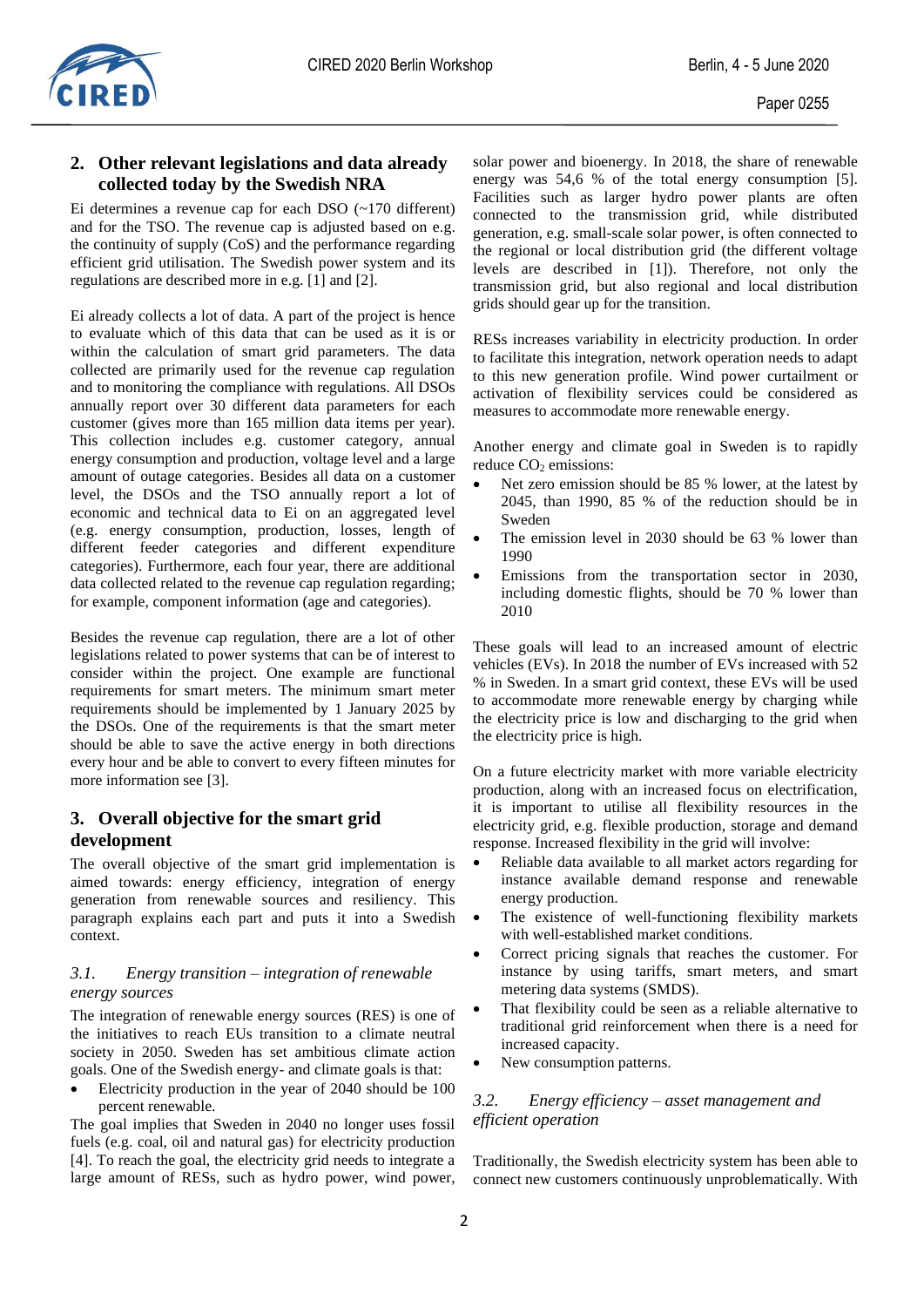## **2. Other relevant legislations and data already collected today by the Swedish NRA**

Ei determines a revenue cap for each DSO (~170 different) and for the TSO. The revenue cap is adjusted based on e.g. the continuity of supply (CoS) and the performance regarding efficient grid utilisation. The Swedish power system and its regulations are described more in e.g. [\[1\]](#page-3-0) and [\[2\].](#page-3-1)

Ei already collects a lot of data. A part of the project is hence to evaluate which of this data that can be used as it is or within the calculation of smart grid parameters. The data collected are primarily used for the revenue cap regulation and to monitoring the compliance with regulations. All DSOs annually report over 30 different data parameters for each customer (gives more than 165 million data items per year). This collection includes e.g. customer category, annual energy consumption and production, voltage level and a large amount of outage categories. Besides all data on a customer level, the DSOs and the TSO annually report a lot of economic and technical data to Ei on an aggregated level (e.g. energy consumption, production, losses, length of different feeder categories and different expenditure categories). Furthermore, each four year, there are additional data collected related to the revenue cap regulation regarding; for example, component information (age and categories).

Besides the revenue cap regulation, there are a lot of other legislations related to power systems that can be of interest to consider within the project. One example are functional requirements for smart meters. The minimum smart meter requirements should be implemented by 1 January 2025 by the DSOs. One of the requirements is that the smart meter should be able to save the active energy in both directions every hour and be able to convert to every fifteen minutes for more information see [\[3\].](#page-3-2)

# **3. Overall objective for the smart grid development**

The overall objective of the smart grid implementation is aimed towards: energy efficiency, integration of energy generation from renewable sources and resiliency. This paragraph explains each part and puts it into a Swedish context.

### *3.1. Energy transition – integration of renewable energy sources*

The integration of renewable energy sources (RES) is one of the initiatives to reach EUs transition to a climate neutral society in 2050. Sweden has set ambitious climate action goals. One of the Swedish energy- and climate goals is that:

• Electricity production in the year of 2040 should be 100 percent renewable.

The goal implies that Sweden in 2040 no longer uses fossil fuels (e.g. coal, oil and natural gas) for electricity production [\[4\].](#page-3-3) To reach the goal, the electricity grid needs to integrate a large amount of RESs, such as hydro power, wind power, solar power and bioenergy. In 2018, the share of renewable energy was 54,6 % of the total energy consumption [\[5\].](#page-3-4) Facilities such as larger hydro power plants are often connected to the transmission grid, while distributed generation, e.g. small-scale solar power, is often connected to the regional or local distribution grid (the different voltage levels are described in [\[1\]\)](#page-3-0). Therefore, not only the transmission grid, but also regional and local distribution grids should gear up for the transition.

RESs increases variability in electricity production. In order to facilitate this integration, network operation needs to adapt to this new generation profile. Wind power curtailment or activation of flexibility services could be considered as measures to accommodate more renewable energy.

Another energy and climate goal in Sweden is to rapidly reduce CO<sub>2</sub> emissions:

- Net zero emission should be 85 % lower, at the latest by 2045, than 1990, 85 % of the reduction should be in Sweden
- The emission level in 2030 should be 63 % lower than 1990
- Emissions from the transportation sector in 2030, including domestic flights, should be 70 % lower than 2010

These goals will lead to an increased amount of electric vehicles (EVs). In 2018 the number of EVs increased with 52 % in Sweden. In a smart grid context, these EVs will be used to accommodate more renewable energy by charging while the electricity price is low and discharging to the grid when the electricity price is high.

On a future electricity market with more variable electricity production, along with an increased focus on electrification, it is important to utilise all flexibility resources in the electricity grid, e.g. flexible production, storage and demand response. Increased flexibility in the grid will involve:

- Reliable data available to all market actors regarding for instance available demand response and renewable energy production.
- The existence of well-functioning flexibility markets with well-established market conditions.
- Correct pricing signals that reaches the customer. For instance by using tariffs, smart meters, and smart metering data systems (SMDS).
- That flexibility could be seen as a reliable alternative to traditional grid reinforcement when there is a need for increased capacity.
- New consumption patterns.

## *3.2. Energy efficiency – asset management and efficient operation*

Traditionally, the Swedish electricity system has been able to connect new customers continuously unproblematically. With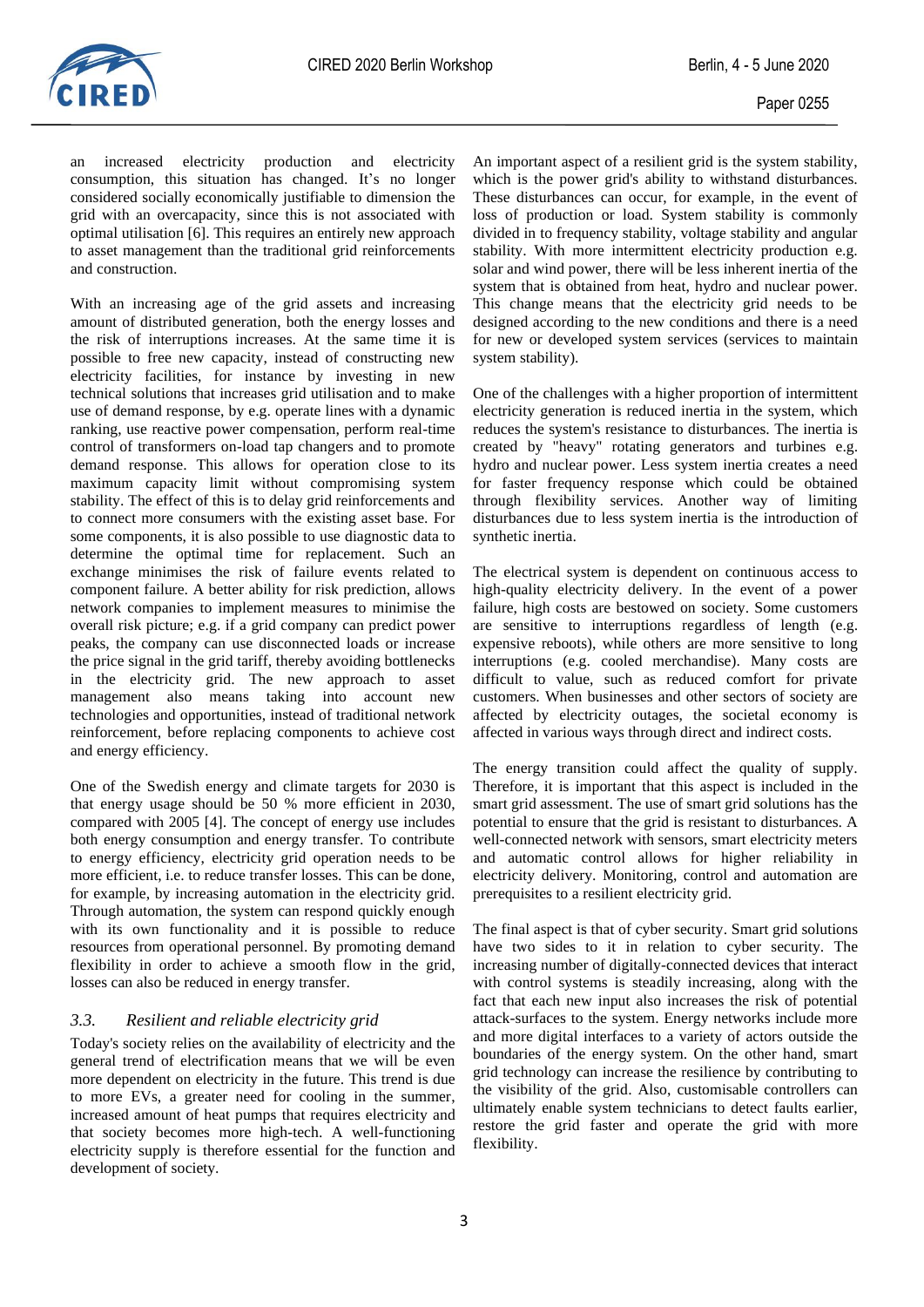

an increased electricity production and electricity consumption, this situation has changed. It's no longer considered socially economically justifiable to dimension the grid with an overcapacity, since this is not associated with optimal utilisation [\[6\].](#page-3-5) This requires an entirely new approach to asset management than the traditional grid reinforcements and construction.

With an increasing age of the grid assets and increasing amount of distributed generation, both the energy losses and the risk of interruptions increases. At the same time it is possible to free new capacity, instead of constructing new electricity facilities, for instance by investing in new technical solutions that increases grid utilisation and to make use of demand response, by e.g. operate lines with a dynamic ranking, use reactive power compensation, perform real-time control of transformers on-load tap changers and to promote demand response. This allows for operation close to its maximum capacity limit without compromising system stability. The effect of this is to delay grid reinforcements and to connect more consumers with the existing asset base. For some components, it is also possible to use diagnostic data to determine the optimal time for replacement. Such an exchange minimises the risk of failure events related to component failure. A better ability for risk prediction, allows network companies to implement measures to minimise the overall risk picture; e.g. if a grid company can predict power peaks, the company can use disconnected loads or increase the price signal in the grid tariff, thereby avoiding bottlenecks in the electricity grid. The new approach to asset management also means taking into account new technologies and opportunities, instead of traditional network reinforcement, before replacing components to achieve cost and energy efficiency.

One of the Swedish energy and climate targets for 2030 is that energy usage should be 50 % more efficient in 2030, compared with 2005 [\[4\].](#page-3-3) The concept of energy use includes both energy consumption and energy transfer. To contribute to energy efficiency, electricity grid operation needs to be more efficient, i.e. to reduce transfer losses. This can be done, for example, by increasing automation in the electricity grid. Through automation, the system can respond quickly enough with its own functionality and it is possible to reduce resources from operational personnel. By promoting demand flexibility in order to achieve a smooth flow in the grid, losses can also be reduced in energy transfer.

#### *3.3. Resilient and reliable electricity grid*

Today's society relies on the availability of electricity and the general trend of electrification means that we will be even more dependent on electricity in the future. This trend is due to more EVs, a greater need for cooling in the summer, increased amount of heat pumps that requires electricity and that society becomes more high-tech. A well-functioning electricity supply is therefore essential for the function and development of society.

An important aspect of a resilient grid is the system stability, which is the power grid's ability to withstand disturbances. These disturbances can occur, for example, in the event of loss of production or load. System stability is commonly divided in to frequency stability, voltage stability and angular stability. With more intermittent electricity production e.g. solar and wind power, there will be less inherent inertia of the system that is obtained from heat, hydro and nuclear power. This change means that the electricity grid needs to be designed according to the new conditions and there is a need for new or developed system services (services to maintain system stability).

One of the challenges with a higher proportion of intermittent electricity generation is reduced inertia in the system, which reduces the system's resistance to disturbances. The inertia is created by "heavy" rotating generators and turbines e.g. hydro and nuclear power. Less system inertia creates a need for faster frequency response which could be obtained through flexibility services. Another way of limiting disturbances due to less system inertia is the introduction of synthetic inertia.

The electrical system is dependent on continuous access to high-quality electricity delivery. In the event of a power failure, high costs are bestowed on society. Some customers are sensitive to interruptions regardless of length (e.g. expensive reboots), while others are more sensitive to long interruptions (e.g. cooled merchandise). Many costs are difficult to value, such as reduced comfort for private customers. When businesses and other sectors of society are affected by electricity outages, the societal economy is affected in various ways through direct and indirect costs.

The energy transition could affect the quality of supply. Therefore, it is important that this aspect is included in the smart grid assessment. The use of smart grid solutions has the potential to ensure that the grid is resistant to disturbances. A well-connected network with sensors, smart electricity meters and automatic control allows for higher reliability in electricity delivery. Monitoring, control and automation are prerequisites to a resilient electricity grid.

The final aspect is that of cyber security. Smart grid solutions have two sides to it in relation to cyber security. The increasing number of digitally-connected devices that interact with control systems is steadily increasing, along with the fact that each new input also increases the risk of potential attack-surfaces to the system. Energy networks include more and more digital interfaces to a variety of actors outside the boundaries of the energy system. On the other hand, smart grid technology can increase the resilience by contributing to the visibility of the grid. Also, customisable controllers can ultimately enable system technicians to detect faults earlier, restore the grid faster and operate the grid with more flexibility.